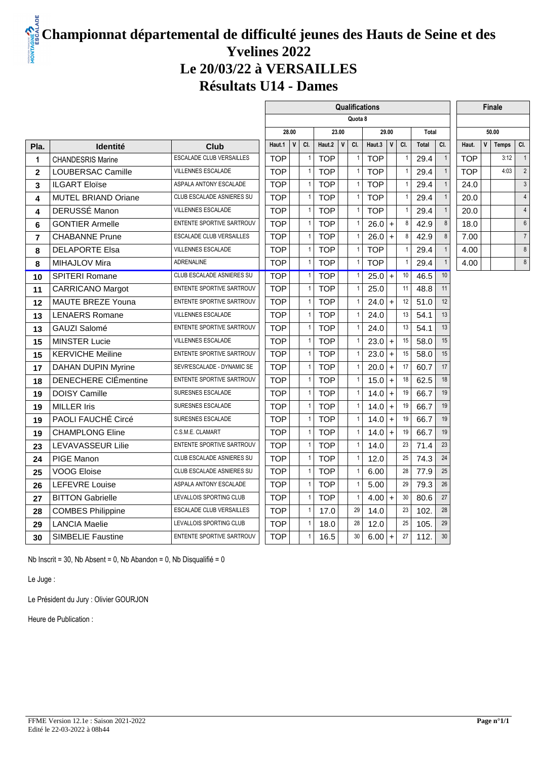### **Championnat départemental de difficulté jeunes des Hauts de Seine et des Yvelines 2022 Le 20/03/22 à VERSAILLES Résultats U14 - Dames**

 $\mathbf{r}$ 

|                |                             |                                 | Qualifications |              |                |            |                       |                          |            |           |     |              |                |            |              | Finale |                |
|----------------|-----------------------------|---------------------------------|----------------|--------------|----------------|------------|-----------------------|--------------------------|------------|-----------|-----|--------------|----------------|------------|--------------|--------|----------------|
|                |                             |                                 | Quota 8        |              |                |            |                       |                          |            |           |     |              |                |            |              |        |                |
|                |                             |                                 |                | 28.00        |                |            | 23.00<br>$\mathbf{V}$ |                          |            | 29.00     |     | <b>Total</b> |                | 50.00      |              |        |                |
| Pla.           | <b>Identité</b>             | Club                            | Haut.1         | $\mathsf{V}$ | CI.            | Haut.2     |                       | CI.                      | Haut.3     | V         | CI. | Total        | CI.            | Haut.      | $\mathsf{v}$ | Temps  | CI.            |
| 1              | <b>CHANDESRIS Marine</b>    | <b>ESCALADE CLUB VERSAILLES</b> | <b>TOP</b>     |              | $\mathbf{1}$   | <b>TOP</b> |                       | $\overline{1}$           | <b>TOP</b> |           | 1   | 29.4         | $\overline{1}$ | TOP        |              | 3:12   | $\overline{1}$ |
| $\mathbf{2}$   | LOUBERSAC Camille           | <b>VILLENNES ESCALADE</b>       | <b>TOP</b>     |              | $\overline{1}$ | <b>TOP</b> |                       | $\overline{\phantom{a}}$ | <b>TOP</b> |           | 1   | 29.4         |                | <b>TOP</b> |              | 4:03   | 2              |
| 3              | <b>ILGART Eloïse</b>        | ASPALA ANTONY ESCALADE          | <b>TOP</b>     |              | $\overline{1}$ | <b>TOP</b> |                       | $\overline{\phantom{a}}$ | <b>TOP</b> |           | 1   | 29.4         | $\overline{1}$ | 24.0       |              |        | 3              |
| 4              | <b>MUTEL BRIAND Oriane</b>  | CLUB ESCALADE ASNIERES SU       | <b>TOP</b>     |              | $\overline{1}$ | <b>TOP</b> |                       |                          | <b>TOP</b> |           | 1   | 29.4         |                | 20.0       |              |        | $\overline{4}$ |
| 4              | DERUSSÉ Manon               | VILLENNES ESCALADE              | <b>TOP</b>     |              | $\overline{1}$ | <b>TOP</b> |                       | -1                       | <b>TOP</b> |           |     | 29.4         | $\mathbf{1}$   | 20.0       |              |        | $\overline{4}$ |
| 6              | <b>GONTIER Armelle</b>      | ENTENTE SPORTIVE SARTROUV       | <b>TOP</b>     |              | $\overline{1}$ | <b>TOP</b> |                       | $\overline{\phantom{a}}$ | 26.0       | $+$       | 8   | 42.9         | 8              | 18.0       |              |        | 6              |
| $\overline{7}$ | <b>CHABANNE Prune</b>       | <b>ESCALADE CLUB VERSAILLES</b> | <b>TOP</b>     |              | $\overline{1}$ | <b>TOP</b> |                       | $\overline{\phantom{a}}$ | 26.0       | $+$       | 8   | 42.9         | 8              | 7.00       |              |        | $\overline{7}$ |
| 8              | <b>DELAPORTE Elsa</b>       | <b>VILLENNES ESCALADE</b>       | <b>TOP</b>     |              | $\overline{1}$ | <b>TOP</b> |                       | $\overline{1}$           | <b>TOP</b> |           | 1   | 29.4         |                | 4.00       |              |        | 8              |
| 8              | MIHAJLOV Mira               | <b>ADRENALINE</b>               | <b>TOP</b>     |              | $\overline{1}$ | <b>TOP</b> |                       |                          | <b>TOP</b> |           |     | 29.4         |                | 4.00       |              |        | 8              |
| 10             | <b>SPITERI Romane</b>       | CLUB ESCALADE ASNIERES SU       | <b>TOP</b>     |              | $\overline{1}$ | <b>TOP</b> |                       | $\overline{1}$           | 25.0       | $+$       | 10  | 46.5         | 10             |            |              |        |                |
| 11             | <b>CARRICANO Margot</b>     | ENTENTE SPORTIVE SARTROUV       | <b>TOP</b>     |              | $\mathbf{1}$   | <b>TOP</b> |                       | $\overline{1}$           | 25.0       |           | 11  | 48.8         | 11             |            |              |        |                |
| 12             | MAUTE BREZE Youna           | ENTENTE SPORTIVE SARTROUV       | <b>TOP</b>     |              | $\overline{1}$ | <b>TOP</b> |                       | $\overline{\phantom{a}}$ | 24.0       | $+$       | 12  | 51.0         | 12             |            |              |        |                |
| 13             | <b>LENAERS Romane</b>       | <b>VILLENNES ESCALADE</b>       | <b>TOP</b>     |              | $\overline{1}$ | <b>TOP</b> |                       |                          | 24.0       |           | 13  | 54.1         | 13             |            |              |        |                |
| 13             | <b>GAUZI Salomé</b>         | ENTENTE SPORTIVE SARTROUV       | <b>TOP</b>     |              | $\overline{1}$ | <b>TOP</b> |                       |                          | 24.0       |           | 13  | 54.1         | 13             |            |              |        |                |
| 15             | <b>MINSTER Lucie</b>        | VILLENNES ESCALADE              | <b>TOP</b>     |              | $\overline{1}$ | <b>TOP</b> |                       | $\overline{\phantom{a}}$ | 23.0       | $+$       | 15  | 58.0         | 15             |            |              |        |                |
| 15             | <b>KERVICHE Meiline</b>     | ENTENTE SPORTIVE SARTROUV       | <b>TOP</b>     |              | $\overline{1}$ | <b>TOP</b> |                       |                          | 23.0       | $\ddot{}$ | 15  | 58.0         | 15             |            |              |        |                |
| 17             | <b>DAHAN DUPIN Myrine</b>   | SEVR'ESCALADE - DYNAMIC SE      | <b>TOP</b>     |              | $\overline{1}$ | <b>TOP</b> |                       | -1                       | 20.0       | $\ddot{}$ | 17  | 60.7         | 17             |            |              |        |                |
| 18             | <b>DENECHERE CIÉmentine</b> | ENTENTE SPORTIVE SARTROUV       | <b>TOP</b>     |              | $\mathbf{1}$   | <b>TOP</b> |                       |                          | 15.0       | $+$       | 18  | 62.5         | 18             |            |              |        |                |
| 19             | <b>DOISY Camille</b>        | SURESNES ESCALADE               | <b>TOP</b>     |              | $\overline{1}$ | <b>TOP</b> |                       | -1                       | 14.0       | $+$       | 19  | 66.7         | 19             |            |              |        |                |
| 19             | <b>MILLER Iris</b>          | SURESNES ESCALADE               | <b>TOP</b>     |              | $\overline{1}$ | <b>TOP</b> |                       | $\overline{1}$           | 14.0       | $+$       | 19  | 66.7         | 19             |            |              |        |                |
| 19             | PAOLI FAUCHÉ Circé          | SURESNES ESCALADE               | <b>TOP</b>     |              | $\overline{1}$ | <b>TOP</b> |                       | $\overline{1}$           | 14.0       | $+$       | 19  | 66.7         | 19             |            |              |        |                |
| 19             | <b>CHAMPLONG Eline</b>      | C.S.M.E. CLAMART                | <b>TOP</b>     |              | $\overline{1}$ | <b>TOP</b> |                       | $\mathbf{1}$             | 14.0       | $+$       | 19  | 66.7         | 19             |            |              |        |                |
| 23             | <b>LEVAVASSEUR Lilie</b>    | ENTENTE SPORTIVE SARTROUV       | <b>TOP</b>     |              | $\mathbf{1}$   | <b>TOP</b> |                       |                          | 14.0       |           | 23  | 71.4         | 23             |            |              |        |                |
| 24             | PIGE Manon                  | CLUB ESCALADE ASNIERES SU       | <b>TOP</b>     |              | $\overline{1}$ | <b>TOP</b> |                       | $\overline{\phantom{a}}$ | 12.0       |           | 25  | 74.3         | 24             |            |              |        |                |
| 25             | <b>VOOG Eloise</b>          | CLUB ESCALADE ASNIERES SU       | <b>TOP</b>     |              | $\mathbf{1}$   | <b>TOP</b> |                       | $\overline{\phantom{a}}$ | 6.00       |           | 28  | 77.9         | 25             |            |              |        |                |
| 26             | <b>LEFEVRE Louise</b>       | ASPALA ANTONY ESCALADE          | <b>TOP</b>     |              | $\overline{1}$ | <b>TOP</b> |                       | -1                       | 5.00       |           | 29  | 79.3         | 26             |            |              |        |                |
| 27             | <b>BITTON Gabrielle</b>     | LEVALLOIS SPORTING CLUB         | <b>TOP</b>     |              | $\overline{1}$ | <b>TOP</b> |                       | -1                       | 4.00       | $+$       | 30  | 80.6         | 27             |            |              |        |                |
| 28             | <b>COMBES Philippine</b>    | ESCALADE CLUB VERSAILLES        | <b>TOP</b>     |              | $\overline{1}$ | 17.0       |                       | 29                       | 14.0       |           | 23  | 102.         | 28             |            |              |        |                |
| 29             | <b>LANCIA Maelie</b>        | LEVALLOIS SPORTING CLUB         | <b>TOP</b>     |              | $\overline{1}$ | 18.0       |                       | 28                       | 12.0       |           | 25  | 105.         | 29             |            |              |        |                |
| 30             | SIMBELIE Faustine           | ENTENTE SPORTIVE SARTROUV       | <b>TOP</b>     |              | $\overline{1}$ | 16.5       |                       | 30                       | 6.00       | $+$       | 27  | 112.         | 30             |            |              |        |                |
|                |                             |                                 |                |              |                |            |                       |                          |            |           |     |              |                |            |              |        |                |

Nb Inscrit = 30, Nb Absent = 0, Nb Abandon = 0, Nb Disqualifié = 0

Le Juge :

Le Président du Jury : Olivier GOURJON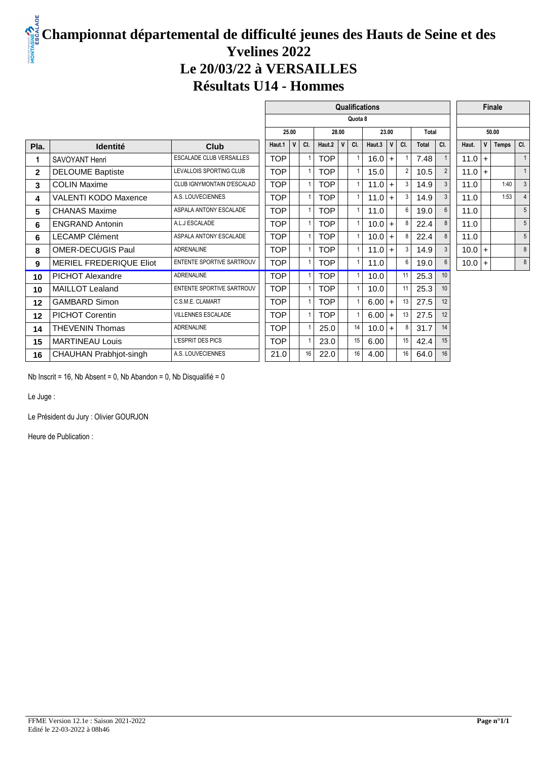# **Championnat départemental de difficulté jeunes des Hauts de Seine et des Yvelines 2022 Le 20/03/22 à VERSAILLES Résultats U14 - Hommes**

|                               |                                 | <b>Qualifications</b> |     |                                                                                                                                                                                                                          |            |             |               |        |         |                                                                                              |                                                             |     |              |   |                                                                          |                                   |
|-------------------------------|---------------------------------|-----------------------|-----|--------------------------------------------------------------------------------------------------------------------------------------------------------------------------------------------------------------------------|------------|-------------|---------------|--------|---------|----------------------------------------------------------------------------------------------|-------------------------------------------------------------|-----|--------------|---|--------------------------------------------------------------------------|-----------------------------------|
|                               |                                 |                       |     |                                                                                                                                                                                                                          |            |             |               |        |         |                                                                                              |                                                             |     |              |   |                                                                          |                                   |
|                               |                                 |                       |     |                                                                                                                                                                                                                          |            |             |               | 23.00  |         |                                                                                              |                                                             |     | 50.00        |   |                                                                          |                                   |
| <b>Identité</b>               | <b>Club</b>                     | Haut.1                | CI. |                                                                                                                                                                                                                          | Haut.2     | $\mathbf v$ | CI.           | Haut.3 | v       | CI.                                                                                          | <b>Total</b>                                                | CI. | Haut.        | v | <b>Temps</b>                                                             | CI.                               |
| <b>SAVOYANT Henri</b>         | <b>ESCALADE CLUB VERSAILLES</b> |                       |     | $\mathbf{1}$                                                                                                                                                                                                             | <b>TOP</b> |             |               |        |         |                                                                                              | 7.48                                                        |     |              |   |                                                                          |                                   |
| <b>DELOUME Baptiste</b>       | LEVALLOIS SPORTING CLUB         |                       |     | $\overline{1}$                                                                                                                                                                                                           | <b>TOP</b> |             |               |        |         | $\overline{2}$                                                                               | 10.5                                                        |     |              |   |                                                                          | $\overline{1}$                    |
| <b>COLIN Maxime</b>           | CLUB IGNYMONTAIN D'ESCALAD      |                       |     | $\mathbf{1}$                                                                                                                                                                                                             | <b>TOP</b> |             |               |        |         | 3                                                                                            | 14.9                                                        |     |              |   |                                                                          |                                   |
| VALENTI KODO Maxence          | A.S. LOUVECIENNES               |                       |     | $\overline{1}$                                                                                                                                                                                                           | <b>TOP</b> |             |               |        |         | 3                                                                                            | 14.9                                                        | 3   |              |   | 1:53                                                                     |                                   |
| <b>CHANAS Maxime</b>          | ASPALA ANTONY ESCALADE          |                       |     | $\overline{1}$                                                                                                                                                                                                           | <b>TOP</b> |             |               | 11.0   |         | 6                                                                                            | 19.0                                                        | 6   |              |   |                                                                          |                                   |
| <b>ENGRAND Antonin</b>        | A.L.J ESCALADE                  |                       |     | $\overline{1}$                                                                                                                                                                                                           | <b>TOP</b> |             |               |        |         | 8                                                                                            | 22.4                                                        | 8   |              |   |                                                                          | 5                                 |
| <b>LECAMP Clément</b>         | ASPALA ANTONY ESCALADE          |                       |     | $\overline{1}$                                                                                                                                                                                                           | TOP        |             |               |        |         | 8                                                                                            | 22.4                                                        | 8   |              |   |                                                                          |                                   |
| <b>OMER-DECUGIS Paul</b>      | <b>ADRENALINE</b>               |                       |     | 1                                                                                                                                                                                                                        | <b>TOP</b> |             |               |        |         | 3                                                                                            | 14.9                                                        |     |              |   |                                                                          | 8                                 |
| MERIEL FREDERIQUE Eliot       | ENTENTE SPORTIVE SARTROUV       |                       |     | $\overline{1}$                                                                                                                                                                                                           | <b>TOP</b> |             |               | 11.0   |         | 6                                                                                            | 19.0                                                        | 6   |              |   |                                                                          | 8                                 |
| <b>PICHOT Alexandre</b>       | <b>ADRENALINE</b>               |                       |     | $\overline{1}$                                                                                                                                                                                                           | <b>TOP</b> |             |               |        |         | 11                                                                                           | 25.3                                                        | 10  |              |   |                                                                          |                                   |
| <b>MAILLOT Lealand</b>        | ENTENTE SPORTIVE SARTROUV       |                       |     | $\overline{1}$                                                                                                                                                                                                           | TOP        |             |               |        |         | 11                                                                                           | 25.3                                                        | 10  |              |   |                                                                          |                                   |
| <b>GAMBARD Simon</b>          | C.S.M.E. CLAMART                |                       |     | $\mathbf{1}$                                                                                                                                                                                                             | <b>TOP</b> |             |               |        |         | 13                                                                                           | 27.5                                                        | 12  |              |   |                                                                          |                                   |
| <b>PICHOT Corentin</b>        | <b>VILLENNES ESCALADE</b>       |                       |     | $\overline{1}$                                                                                                                                                                                                           | <b>TOP</b> |             |               |        |         | 13                                                                                           | 27.5                                                        | 12  |              |   |                                                                          |                                   |
| <b>THEVENIN Thomas</b>        | <b>ADRENALINE</b>               |                       |     | $\overline{1}$                                                                                                                                                                                                           | 25.0       |             | 14            |        |         | 8                                                                                            | 31.7                                                        | 14  |              |   |                                                                          |                                   |
| <b>MARTINEAU Louis</b>        | L'ESPRIT DES PICS               |                       |     | 1                                                                                                                                                                                                                        | 23.0       |             | 15            | 6.00   |         | 15                                                                                           | 42.4                                                        | 15  |              |   |                                                                          |                                   |
| <b>CHAUHAN Prabhjot-singh</b> | A.S. LOUVECIENNES               |                       |     | 16                                                                                                                                                                                                                       |            |             | 16            | 4.00   |         | 16                                                                                           | 64.0                                                        | 16  |              |   |                                                                          |                                   |
|                               |                                 |                       |     | 25.00<br><b>TOP</b><br><b>TOP</b><br><b>TOP</b><br><b>TOP</b><br><b>TOP</b><br><b>TOP</b><br><b>TOP</b><br><b>TOP</b><br><b>TOP</b><br><b>TOP</b><br>TOP<br><b>TOP</b><br><b>TOP</b><br><b>TOP</b><br><b>TOP</b><br>21.0 |            |             | 28.00<br>22.0 |        | Quota 8 | 16.0<br>15.0<br>11.0<br>11.0<br>10.0<br>10.0<br>11.0<br>10.0<br>10.0<br>6.00<br>6.00<br>10.0 | $+$<br>$+$<br>$+$<br>$+$<br>$+$<br>$+$<br>$+$<br>$+$<br>$+$ |     | <b>Total</b> |   | $11.0 +$<br>$11.0 +$<br>11.0<br>11.0<br>11.0<br>11.0<br>11.0<br>$10.0 +$ | <b>Finale</b><br>1:40<br>$10.0$ + |

Nb Inscrit = 16, Nb Absent = 0, Nb Abandon = 0, Nb Disqualifié = 0

Le Juge :

Le Président du Jury : Olivier GOURJON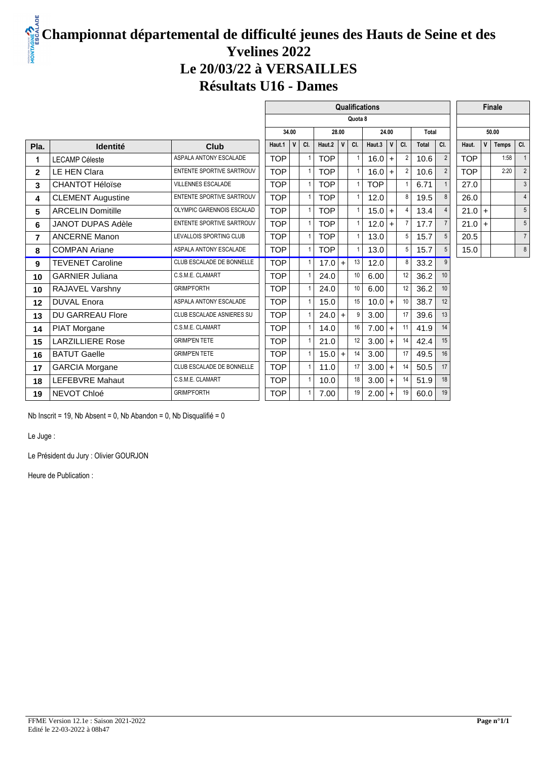# **Championnat départemental de difficulté jeunes des Hauts de Seine et des Yvelines 2022 Le 20/03/22 à VERSAILLES Résultats U16 - Dames**

|                          |                           | Qualifications |              |                |            |             |                                           |            |             |                                                                                       |       |                |            |              |                  |                |  |
|--------------------------|---------------------------|----------------|--------------|----------------|------------|-------------|-------------------------------------------|------------|-------------|---------------------------------------------------------------------------------------|-------|----------------|------------|--------------|------------------|----------------|--|
|                          |                           |                |              |                |            |             |                                           |            |             |                                                                                       |       |                |            |              |                  |                |  |
|                          |                           | 34.00<br>28.00 |              |                |            |             |                                           |            |             |                                                                                       |       |                | 50.00      |              |                  |                |  |
| <b>Identité</b>          | Club                      | Haut.1         | $\mathsf{v}$ | CI.            |            | $\mathbf v$ | CI.                                       | Haut.3     | $\mathbf v$ | CI.                                                                                   | Total | CI.            | Haut.      | $\mathsf{v}$ | Temps            | CI.            |  |
| <b>LECAMP Céleste</b>    | ASPALA ANTONY ESCALADE    | <b>TOP</b>     |              | $\overline{1}$ | <b>TOP</b> |             |                                           |            | $+$         | $\overline{2}$                                                                        | 10.6  | $\overline{2}$ | <b>TOP</b> |              | 1:58             |                |  |
| <b>LE HEN Clara</b>      | ENTENTE SPORTIVE SARTROUV | <b>TOP</b>     |              | $\overline{1}$ | <b>TOP</b> |             |                                           |            | $+$         | $\overline{2}$                                                                        | 10.6  |                | <b>TOP</b> |              | 2:20             | 2              |  |
| <b>CHANTOT Héloïse</b>   | <b>VILLENNES ESCALADE</b> | <b>TOP</b>     |              | $\mathbf{1}$   | <b>TOP</b> |             |                                           | <b>TOP</b> |             |                                                                                       | 6.71  |                | 27.0       |              |                  | 3              |  |
| <b>CLEMENT Augustine</b> | ENTENTE SPORTIVE SARTROUV | <b>TOP</b>     |              | $\mathbf{1}$   | <b>TOP</b> |             |                                           | 12.0       |             | 8                                                                                     | 19.5  |                | 26.0       |              |                  | $\overline{4}$ |  |
| <b>ARCELIN Domitille</b> | OLYMPIC GARENNOIS ESCALAD | <b>TOP</b>     |              | $\overline{1}$ | <b>TOP</b> |             |                                           |            | $+$         | 4                                                                                     | 13.4  |                |            |              |                  |                |  |
| JANOT DUPAS Adèle        | ENTENTE SPORTIVE SARTROUV | <b>TOP</b>     |              | $\overline{1}$ | <b>TOP</b> |             |                                           |            | $+$         | 7                                                                                     | 17.7  |                |            | $+$          |                  | 5              |  |
| <b>ANCERNE Manon</b>     | LEVALLOIS SPORTING CLUB   | <b>TOP</b>     |              | $\overline{1}$ | <b>TOP</b> |             |                                           | 13.0       |             | 5                                                                                     | 15.7  | 5              | 20.5       |              |                  | $\overline{7}$ |  |
| <b>COMPAN Ariane</b>     | ASPALA ANTONY ESCALADE    | <b>TOP</b>     |              | $\mathbf{1}$   | <b>TOP</b> |             |                                           | 13.0       |             | 5                                                                                     | 15.7  | 5              | 15.0       |              |                  | 8              |  |
| <b>TEVENET Caroline</b>  | CLUB ESCALADE DE BONNELLE | <b>TOP</b>     |              | $\overline{1}$ |            |             | 13                                        | 12.0       |             | 8                                                                                     | 33.2  |                |            |              |                  |                |  |
| <b>GARNIER Juliana</b>   | C.S.M.E. CLAMART          | <b>TOP</b>     |              | $\mathbf{1}$   | 24.0       |             | 10                                        | 6.00       |             | 12                                                                                    | 36.2  | 10             |            |              |                  |                |  |
| RAJAVEL Varshny          | <b>GRIMP'FORTH</b>        | <b>TOP</b>     |              | $\overline{1}$ | 24.0       |             | 10                                        | 6.00       |             | 12                                                                                    | 36.2  | 10             |            |              |                  |                |  |
| <b>DUVAL Enora</b>       | ASPALA ANTONY ESCALADE    | <b>TOP</b>     |              | $\overline{1}$ | 15.0       |             | 15                                        |            | $+$         | 10                                                                                    | 38.7  | 12             |            |              |                  |                |  |
| <b>DU GARREAU Flore</b>  | CLUB ESCALADE ASNIERES SU | <b>TOP</b>     |              | $\overline{1}$ |            | $\ddot{}$   | 9                                         | 3.00       |             | 17                                                                                    | 39.6  | 13             |            |              |                  |                |  |
| PIAT Morgane             | C.S.M.E. CLAMART          | <b>TOP</b>     |              | $\overline{1}$ | 14.0       |             | 16                                        |            | $+$         | 11                                                                                    | 41.9  | 14             |            |              |                  |                |  |
| <b>LARZILLIERE Rose</b>  | <b>GRIMP'EN TETE</b>      | <b>TOP</b>     |              | $\overline{1}$ | 21.0       |             | 12                                        |            | $+$         | 14                                                                                    | 42.4  | 15             |            |              |                  |                |  |
| <b>BATUT Gaelle</b>      | <b>GRIMP'EN TETE</b>      | <b>TOP</b>     |              | $\mathbf{1}$   |            |             | 14                                        | 3.00       |             | 17                                                                                    | 49.5  | 16             |            |              |                  |                |  |
| <b>GARCIA Morgane</b>    | CLUB ESCALADE DE BONNELLE | <b>TOP</b>     |              | $\overline{1}$ | 11.0       |             | 17                                        |            | $+$         | 14                                                                                    | 50.5  | 17             |            |              |                  |                |  |
| <b>LEFEBVRE Mahaut</b>   | C.S.M.E. CLAMART          | <b>TOP</b>     |              | $\overline{1}$ | 10.0       |             | 18                                        |            | $+$         | 14                                                                                    | 51.9  | 18             |            |              |                  |                |  |
| NEVOT Chloé              | <b>GRIMP'FORTH</b>        | <b>TOP</b>     |              | $\overline{1}$ | 7.00       |             | 19                                        |            | $\ddot{}$   | 19                                                                                    | 60.0  | 19             |            |              |                  |                |  |
|                          |                           |                |              |                |            |             | Haut. $2$<br>$17.0 +$<br>24.0<br>$15.0 +$ |            | Quota 8     | 24.00<br>16.0<br>16.0<br>15.0<br>12.0<br>10.0<br>7.00<br>3.00<br>3.00<br>3.00<br>2.00 |       |                | Total      |              | $21.0 +$<br>21.0 | <b>Finale</b>  |  |

Nb Inscrit = 19, Nb Absent = 0, Nb Abandon = 0, Nb Disqualifié = 0

Le Juge :

Le Président du Jury : Olivier GOURJON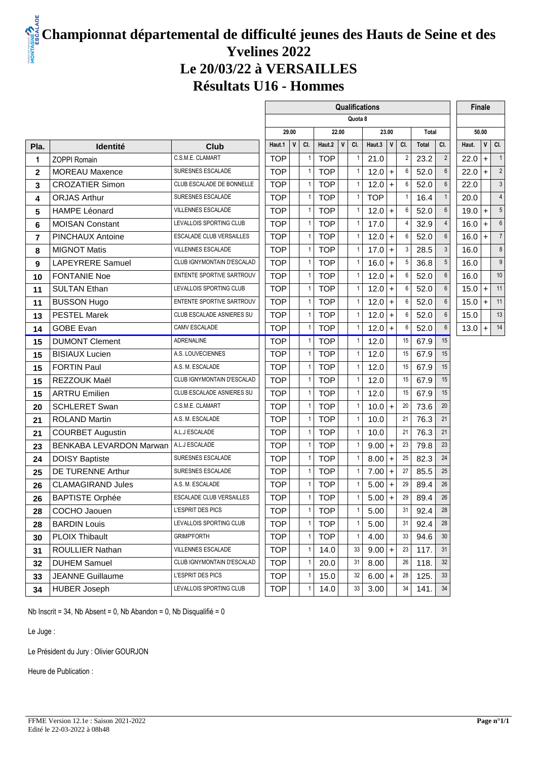#### **LADE Championnat départemental de difficulté jeunes des Hauts de Seine et des Yvelines 2022 Le 20/03/22 à VERSAILLES Résultats U16 - Hommes**

|                |                          |                                 | Qualifications<br>Finale |              |                |            |       |                |            |                    |                |              |                 |          |           |                |
|----------------|--------------------------|---------------------------------|--------------------------|--------------|----------------|------------|-------|----------------|------------|--------------------|----------------|--------------|-----------------|----------|-----------|----------------|
|                |                          |                                 |                          |              |                |            |       | Quota 8        |            |                    |                |              |                 |          |           |                |
|                |                          |                                 |                          | 29.00        |                |            | 22.00 |                |            | 23.00              |                | Total        |                 |          | 50.00     |                |
| Pla.           | <b>Identité</b>          | <b>Club</b>                     | Haut.1                   | $\mathsf{v}$ | CI.            | Haut.2     | V     | CI.            | Haut.3     | $\mathsf{V}$       | CI.            | <b>Total</b> | CI.             | Haut.    | V         | CI.            |
| 1              | <b>ZOPPI Romain</b>      | C.S.M.E. CLAMART                | <b>TOP</b>               |              | $\mathbf{1}$   | <b>TOP</b> |       | $\mathbf{1}$   | 21.0       |                    | $\overline{2}$ | 23.2         | $\overline{2}$  | 22.0     | $\ddot{}$ | -1             |
| $\mathbf{2}$   | <b>MOREAU Maxence</b>    | SURESNES ESCALADE               | <b>TOP</b>               |              | $\overline{1}$ | <b>TOP</b> |       | $\mathbf{1}$   | 12.0       | $\ddot{}$          | 6              | 52.0         | $6\phantom{a}$  | 22.0     | $+$       | $\overline{c}$ |
| 3              | <b>CROZATIER Simon</b>   | CLUB ESCALADE DE BONNELLE       | <b>TOP</b>               |              | $\mathbf{1}$   | <b>TOP</b> |       | $\mathbf{1}$   | 12.0       | $\ddot{}$          | 6              | 52.0         | $6\phantom{a}$  | 22.0     |           | 3              |
| 4              | <b>ORJAS Arthur</b>      | SURESNES ESCALADE               | <b>TOP</b>               |              | $\mathbf{1}$   | <b>TOP</b> |       | $\mathbf{1}$   | <b>TOP</b> |                    |                | 16.4         | $\mathbf{1}$    | 20.0     |           | $\overline{4}$ |
| 5              | <b>HAMPE Léonard</b>     | <b>VILLENNES ESCALADE</b>       | <b>TOP</b>               |              | $\mathbf{1}$   | <b>TOP</b> |       | $\mathbf{1}$   | $12.0 +$   |                    | 6              | 52.0         | $6\phantom{a}$  | 19.0     | $\ddot{}$ | 5              |
| 6              | <b>MOISAN Constant</b>   | LEVALLOIS SPORTING CLUB         | <b>TOP</b>               |              | $\mathbf{1}$   | <b>TOP</b> |       | $\mathbf{1}$   | 17.0       |                    |                | 32.9         | $\overline{4}$  | 16.0     | $\ddot{}$ | 6              |
| $\overline{7}$ | PINCHAUX Antoine         | ESCALADE CLUB VERSAILLES        | <b>TOP</b>               |              | $\mathbf{1}$   | <b>TOP</b> |       | $\mathbf{1}$   | 12.0       | $\left  + \right $ | 6              | 52.0         | $6\phantom{a}$  | $16.0 +$ |           | $\overline{7}$ |
| 8              | <b>MIGNOT Matis</b>      | <b>VILLENNES ESCALADE</b>       | <b>TOP</b>               |              | $\mathbf{1}$   | <b>TOP</b> |       | $\mathbf{1}$   | 17.0       | $\ddot{}$          | 3              | 28.5         | $\mathfrak{Z}$  | 16.0     |           | 8              |
| 9              | <b>LAPEYRERE Samuel</b>  | CLUB IGNYMONTAIN D'ESCALAD      | <b>TOP</b>               |              | $\mathbf{1}$   | <b>TOP</b> |       | $\mathbf{1}$   | 16.0       | $+$                | 5              | 36.8         | $5\overline{)}$ | 16.0     |           | 9              |
| 10             | <b>FONTANIE Noe</b>      | ENTENTE SPORTIVE SARTROUV       | <b>TOP</b>               |              | $\mathbf{1}$   | <b>TOP</b> |       | $\mathbf{1}$   | 12.0       | $\ddot{}$          | 6              | 52.0         | $6\phantom{a}$  | 16.0     |           | 10             |
| 11             | <b>SULTAN Ethan</b>      | LEVALLOIS SPORTING CLUB         | <b>TOP</b>               |              | $\mathbf{1}$   | <b>TOP</b> |       | $\mathbf{1}$   | 12.0       | $\ddot{}$          | 6              | 52.0         | $6\phantom{a}$  | $15.0 +$ |           | 11             |
| 11             | <b>BUSSON Hugo</b>       | ENTENTE SPORTIVE SARTROUV       | <b>TOP</b>               |              | $\mathbf{1}$   | <b>TOP</b> |       | $\mathbf{1}$   | 12.0       | $\left  + \right $ | 6              | 52.0         | $6\phantom{a}$  | $15.0 +$ |           | 11             |
| 13             | <b>PESTEL Marek</b>      | CLUB ESCALADE ASNIERES SU       | <b>TOP</b>               |              | $\mathbf{1}$   | <b>TOP</b> |       | $\mathbf{1}$   | 12.0       | $\ddot{}$          | 6              | 52.0         | $6\phantom{a}$  | 15.0     |           | 13             |
| 14             | <b>GOBE Evan</b>         | CAMV ESCALADE                   | <b>TOP</b>               |              | $\mathbf{1}$   | <b>TOP</b> |       | $\mathbf{1}$   | 12.0       | $+$                | 6              | 52.0         | $6\overline{6}$ | $13.0 +$ |           | 14             |
| 15             | <b>DUMONT Clement</b>    | ADRENALINE                      | <b>TOP</b>               |              | $\overline{1}$ | <b>TOP</b> |       | $\mathbf{1}$   | 12.0       |                    | 15             | 67.9         | 15              |          |           |                |
| 15             | <b>BISIAUX Lucien</b>    | A.S. LOUVECIENNES               | <b>TOP</b>               |              | $\mathbf{1}$   | <b>TOP</b> |       | $\mathbf{1}$   | 12.0       |                    | 15             | 67.9         | 15              |          |           |                |
| 15             | <b>FORTIN Paul</b>       | A.S. M. ESCALADE                | <b>TOP</b>               |              | $\mathbf{1}$   | <b>TOP</b> |       | $\mathbf{1}$   | 12.0       |                    | 15             | 67.9         | 15              |          |           |                |
| 15             | REZZOUK Maël             | CLUB IGNYMONTAIN D'ESCALAD      | <b>TOP</b>               |              | $\mathbf{1}$   | <b>TOP</b> |       | $\mathbf{1}$   | 12.0       |                    | 15             | 67.9         | 15              |          |           |                |
| 15             | <b>ARTRU Emilien</b>     | CLUB ESCALADE ASNIERES SU       | <b>TOP</b>               |              | $\overline{1}$ | <b>TOP</b> |       | $\mathbf{1}$   | 12.0       |                    | 15             | 67.9         | 15              |          |           |                |
| 20             | <b>SCHLERET Swan</b>     | C.S.M.E. CLAMART                | <b>TOP</b>               |              | $\mathbf{1}$   | <b>TOP</b> |       | $\mathbf{1}$   | $10.0$ +   |                    | 20             | 73.6         | 20              |          |           |                |
| 21             | <b>ROLAND Martin</b>     | A.S. M. ESCALADE                | <b>TOP</b>               |              | $\mathbf{1}$   | <b>TOP</b> |       | $\mathbf{1}$   | 10.0       |                    | 21             | 76.3         | 21              |          |           |                |
| 21             | <b>COURBET Augustin</b>  | A.L.J ESCALADE                  | <b>TOP</b>               |              | $\mathbf{1}$   | <b>TOP</b> |       | $\mathbf{1}$   | 10.0       |                    | 21             | 76.3         | 21              |          |           |                |
| 23             | BENKABA LEVARDON Marwan  | A.L.J ESCALADE                  | <b>TOP</b>               |              | $\mathbf{1}$   | <b>TOP</b> |       | $\overline{1}$ | $9.00 +$   |                    | 23             | 79.8         | 23              |          |           |                |
| 24             | <b>DOISY Baptiste</b>    | SURESNES ESCALADE               | <b>TOP</b>               |              | $\mathbf{1}$   | <b>TOP</b> |       | $\mathbf{1}$   | 8.00       | $\ddot{}$          | 25             | 82.3         | 24              |          |           |                |
| 25             | <b>DE TURENNE Arthur</b> | SURESNES ESCALADE               | <b>TOP</b>               |              | $\mathbf{1}$   | <b>TOP</b> |       | $\mathbf{1}$   | 7.00       | $\ddot{}$          | 27             | 85.5         | 25              |          |           |                |
| 26             | <b>CLAMAGIRAND Jules</b> | A.S. M. ESCALADE                | <b>TOP</b>               |              | $\mathbf{1}$   | <b>TOP</b> |       | $\mathbf{1}$   | 5.00       | $\ddot{}$          | 29             | 89.4         | 26              |          |           |                |
| 26             | <b>BAPTISTE Orphée</b>   | <b>ESCALADE CLUB VERSAILLES</b> | <b>TOP</b>               |              | $\mathbf{1}$   | <b>TOP</b> |       | $\mathbf{1}$   | 5.00       | $\overline{+}$     | 29             | 89.4         | 26              |          |           |                |
| 28             | COCHO Jaouen             | L'ESPRIT DES PICS               | TOP                      |              | 1              | <b>TOP</b> |       | 1              | 5.00       |                    | 31             | 92.4         | 28              |          |           |                |
| 28             | <b>BARDIN Louis</b>      | LEVALLOIS SPORTING CLUB         | <b>TOP</b>               |              | $\mathbf{1}$   | <b>TOP</b> |       | $\mathbf{1}$   | 5.00       |                    | 31             | 92.4         | 28              |          |           |                |
| 30             | <b>PLOIX Thibault</b>    | <b>GRIMP'FORTH</b>              | <b>TOP</b>               |              | $\mathbf{1}$   | <b>TOP</b> |       | $\mathbf{1}$   | 4.00       |                    | 33             | 94.6         | 30              |          |           |                |
| 31             | ROULLIER Nathan          | VILLENNES ESCALADE              | <b>TOP</b>               |              | $\mathbf{1}$   | 14.0       |       | 33             | $9.00 +$   |                    | 23             | 117.         | 31              |          |           |                |
| 32             | <b>DUHEM Samuel</b>      | CLUB IGNYMONTAIN D'ESCALAD      | TOP                      |              | $\mathbf{1}$   | 20.0       |       | 31             | 8.00       |                    | 26             | 118.         | 32              |          |           |                |
| 33             | <b>JEANNE Guillaume</b>  | L'ESPRIT DES PICS               | <b>TOP</b>               |              | $\mathbf{1}$   | 15.0       |       | 32             | $6.00 +$   |                    | 28             | 125.         | 33              |          |           |                |
| 34             | <b>HUBER Joseph</b>      | LEVALLOIS SPORTING CLUB         | <b>TOP</b>               |              | $\mathbf{1}$   | 14.0       |       | 33             | 3.00       |                    | 34             | 141.         | 34              |          |           |                |

Nb Inscrit = 34, Nb Absent = 0, Nb Abandon = 0, Nb Disqualifié = 0

Le Juge :

Le Président du Jury : Olivier GOURJON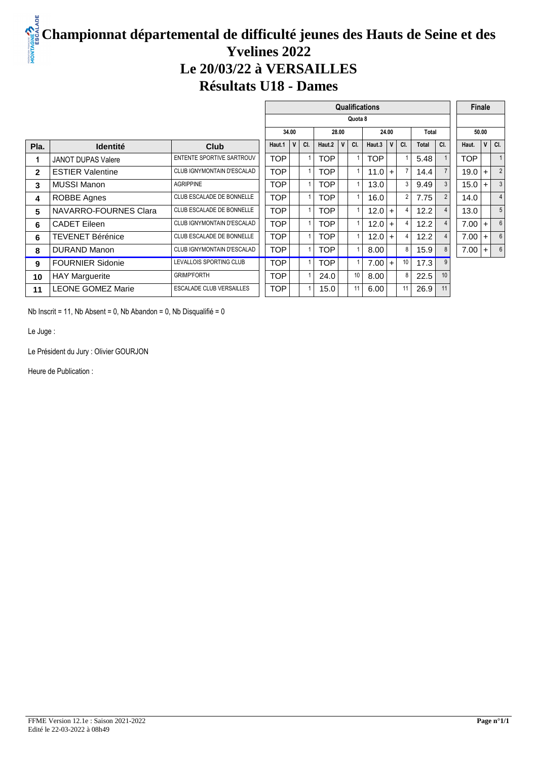# **Championnat départemental de difficulté jeunes des Hauts de Seine et des Yvelines 2022 Le 20/03/22 à VERSAILLES Résultats U18 - Dames**

|              |                          |                                 | <b>Qualifications</b> |       |     |            |              |       |            |                |                |              |                |  |       | Finale         |                |
|--------------|--------------------------|---------------------------------|-----------------------|-------|-----|------------|--------------|-------|------------|----------------|----------------|--------------|----------------|--|-------|----------------|----------------|
|              |                          |                                 | Quota 8               |       |     |            |              |       |            |                |                |              |                |  |       |                |                |
|              |                          |                                 |                       | 34.00 |     |            |              | 28.00 |            |                |                |              | Total          |  |       | 50.00          |                |
| Pla.         | <b>Identité</b>          | <b>Club</b>                     | Haut.1                | V     | CI. | Haut.2     | $\mathsf{V}$ | CI.   | Haut.3     | V <sub>1</sub> | CI.            | <b>Total</b> | CI.            |  | Haut. | V <sub>1</sub> | CI.            |
| 1            | JANOT DUPAS Valere       | ENTENTE SPORTIVE SARTROUV       | <b>TOP</b>            |       |     | <b>TOP</b> |              |       | <b>TOP</b> |                |                | 5.48         |                |  | TOP   |                |                |
| $\mathbf{2}$ | <b>ESTIER Valentine</b>  | CLUB IGNYMONTAIN D'ESCALAD      | <b>TOP</b>            |       |     | <b>TOP</b> |              |       | 11.0       | $+$            | $\overline{7}$ | 14.4         | $\overline{7}$ |  | 19.0  | $+$            | $\overline{2}$ |
| 3            | MUSSI Manon              | <b>AGRIPPINE</b>                | <b>TOP</b>            |       |     | <b>TOP</b> |              |       | 13.0       |                | 3              | 9.49         | 3              |  | 15.0  |                | 3              |
| 4            | ROBBE Agnes              | CLUB ESCALADE DE BONNELLE       | <b>TOP</b>            |       |     | TOP        |              |       | 16.0       |                | $\overline{2}$ | 7.75         | $\overline{2}$ |  | 14.0  |                | $\overline{4}$ |
| 5            | NAVARRO-FOURNES Clara    | CLUB ESCALADE DE BONNELLE       | <b>TOP</b>            |       |     | TOP        |              |       | $12.0 +$   |                | 4              | 12.2         | $\overline{4}$ |  | 13.0  |                | 5              |
| 6            | <b>CADET Eileen</b>      | CLUB IGNYMONTAIN D'ESCALAD      | <b>TOP</b>            |       |     | TOP        |              |       | 12.0       | $\ddot{}$      | 4              | 12.2         | $\overline{4}$ |  | 7.00  | $\ddot{}$      | 6              |
| 6            | TEVENET Bérénice         | CLUB ESCALADE DE BONNELLE       | <b>TOP</b>            |       |     | TOP        |              |       | 12.0       | $\overline{+}$ | 4              | 12.2         |                |  | 7.00  | $\div$         | 6              |
| 8            | <b>DURAND Manon</b>      | CLUB IGNYMONTAIN D'ESCALAD      | <b>TOP</b>            |       |     | TOP        |              |       | 8.00       |                | 8              | 15.9         | 8              |  | 7.00  |                | 6              |
| 9            | <b>FOURNIER Sidonie</b>  | LEVALLOIS SPORTING CLUB         | <b>TOP</b>            |       |     | TOP        |              |       | $7.00 +$   |                | 10             | 17.3         | 9              |  |       |                |                |
| 10           | <b>HAY Marguerite</b>    | <b>GRIMP'FORTH</b>              | <b>TOP</b>            |       |     | 24.0       |              | 10    | 8.00       |                | 8              | 22.5         | 10             |  |       |                |                |
| 11           | <b>LEONE GOMEZ Marie</b> | <b>ESCALADE CLUB VERSAILLES</b> | <b>TOP</b>            |       |     | 15.0       |              |       | 6.00       |                | 11             | 26.9         | 11             |  |       |                |                |

Nb Inscrit = 11, Nb Absent = 0, Nb Abandon = 0, Nb Disqualifié = 0

Le Juge :

Le Président du Jury : Olivier GOURJON